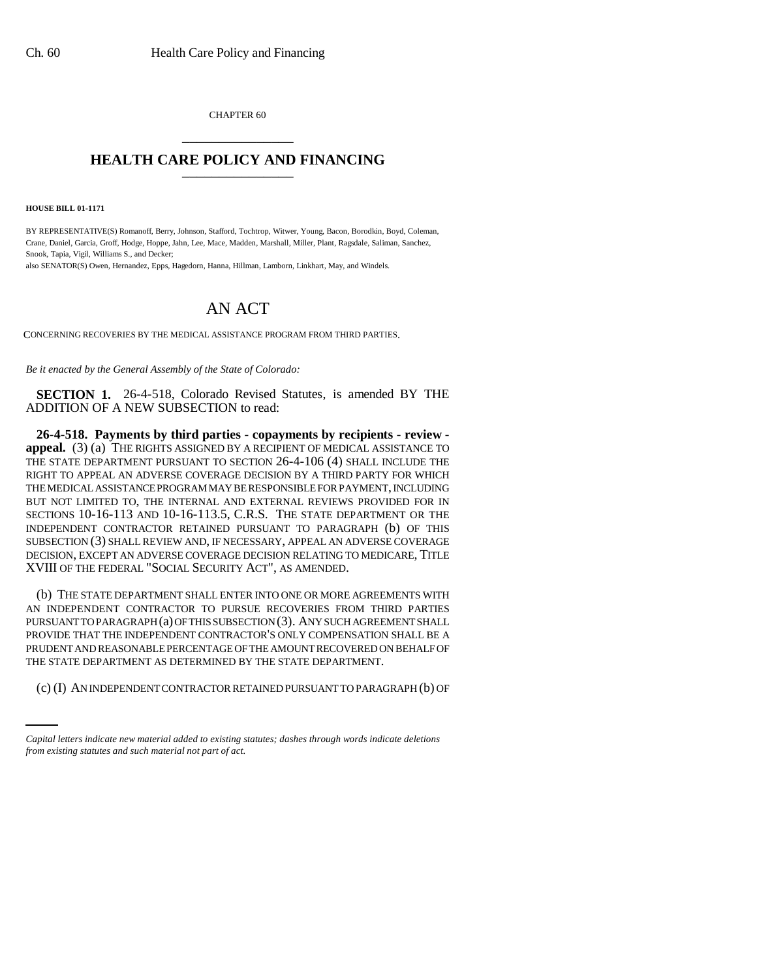CHAPTER 60 \_\_\_\_\_\_\_\_\_\_\_\_\_\_\_

## **HEALTH CARE POLICY AND FINANCING** \_\_\_\_\_\_\_\_\_\_\_\_\_\_\_

**HOUSE BILL 01-1171**

BY REPRESENTATIVE(S) Romanoff, Berry, Johnson, Stafford, Tochtrop, Witwer, Young, Bacon, Borodkin, Boyd, Coleman, Crane, Daniel, Garcia, Groff, Hodge, Hoppe, Jahn, Lee, Mace, Madden, Marshall, Miller, Plant, Ragsdale, Saliman, Sanchez, Snook, Tapia, Vigil, Williams S., and Decker;

also SENATOR(S) Owen, Hernandez, Epps, Hagedorn, Hanna, Hillman, Lamborn, Linkhart, May, and Windels.

## AN ACT

CONCERNING RECOVERIES BY THE MEDICAL ASSISTANCE PROGRAM FROM THIRD PARTIES.

*Be it enacted by the General Assembly of the State of Colorado:*

**SECTION 1.** 26-4-518, Colorado Revised Statutes, is amended BY THE ADDITION OF A NEW SUBSECTION to read:

**26-4-518. Payments by third parties - copayments by recipients - review appeal.** (3) (a) THE RIGHTS ASSIGNED BY A RECIPIENT OF MEDICAL ASSISTANCE TO THE STATE DEPARTMENT PURSUANT TO SECTION 26-4-106 (4) SHALL INCLUDE THE RIGHT TO APPEAL AN ADVERSE COVERAGE DECISION BY A THIRD PARTY FOR WHICH THE MEDICAL ASSISTANCE PROGRAM MAY BE RESPONSIBLE FOR PAYMENT, INCLUDING BUT NOT LIMITED TO, THE INTERNAL AND EXTERNAL REVIEWS PROVIDED FOR IN SECTIONS 10-16-113 AND 10-16-113.5, C.R.S. THE STATE DEPARTMENT OR THE INDEPENDENT CONTRACTOR RETAINED PURSUANT TO PARAGRAPH (b) OF THIS SUBSECTION (3) SHALL REVIEW AND, IF NECESSARY, APPEAL AN ADVERSE COVERAGE DECISION, EXCEPT AN ADVERSE COVERAGE DECISION RELATING TO MEDICARE, TITLE XVIII OF THE FEDERAL "SOCIAL SECURITY ACT", AS AMENDED.

THE STATE DEPARTMENT AS DETERMINED BY THE STATE DEPARTMENT. (b) THE STATE DEPARTMENT SHALL ENTER INTO ONE OR MORE AGREEMENTS WITH AN INDEPENDENT CONTRACTOR TO PURSUE RECOVERIES FROM THIRD PARTIES PURSUANT TO PARAGRAPH (a) OF THIS SUBSECTION (3). ANY SUCH AGREEMENT SHALL PROVIDE THAT THE INDEPENDENT CONTRACTOR'S ONLY COMPENSATION SHALL BE A PRUDENT AND REASONABLE PERCENTAGE OF THE AMOUNT RECOVERED ON BEHALF OF

(c) (I) AN INDEPENDENT CONTRACTOR RETAINED PURSUANT TO PARAGRAPH (b) OF

*Capital letters indicate new material added to existing statutes; dashes through words indicate deletions from existing statutes and such material not part of act.*